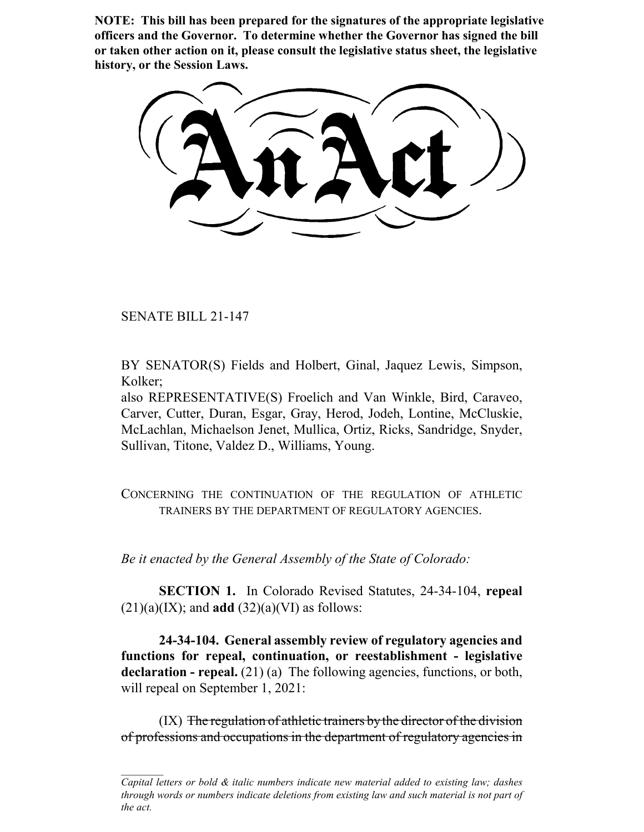**NOTE: This bill has been prepared for the signatures of the appropriate legislative officers and the Governor. To determine whether the Governor has signed the bill or taken other action on it, please consult the legislative status sheet, the legislative history, or the Session Laws.**

SENATE BILL 21-147

BY SENATOR(S) Fields and Holbert, Ginal, Jaquez Lewis, Simpson, Kolker;

also REPRESENTATIVE(S) Froelich and Van Winkle, Bird, Caraveo, Carver, Cutter, Duran, Esgar, Gray, Herod, Jodeh, Lontine, McCluskie, McLachlan, Michaelson Jenet, Mullica, Ortiz, Ricks, Sandridge, Snyder, Sullivan, Titone, Valdez D., Williams, Young.

CONCERNING THE CONTINUATION OF THE REGULATION OF ATHLETIC TRAINERS BY THE DEPARTMENT OF REGULATORY AGENCIES.

*Be it enacted by the General Assembly of the State of Colorado:*

**SECTION 1.** In Colorado Revised Statutes, 24-34-104, **repeal**  $(21)(a)(IX)$ ; and **add**  $(32)(a)(VI)$  as follows:

**24-34-104. General assembly review of regulatory agencies and functions for repeal, continuation, or reestablishment - legislative declaration - repeal.** (21) (a) The following agencies, functions, or both, will repeal on September 1, 2021:

 $(IX)$  The regulation of athletic trainers by the director of the division of professions and occupations in the department of regulatory agencies in

*Capital letters or bold & italic numbers indicate new material added to existing law; dashes through words or numbers indicate deletions from existing law and such material is not part of the act.*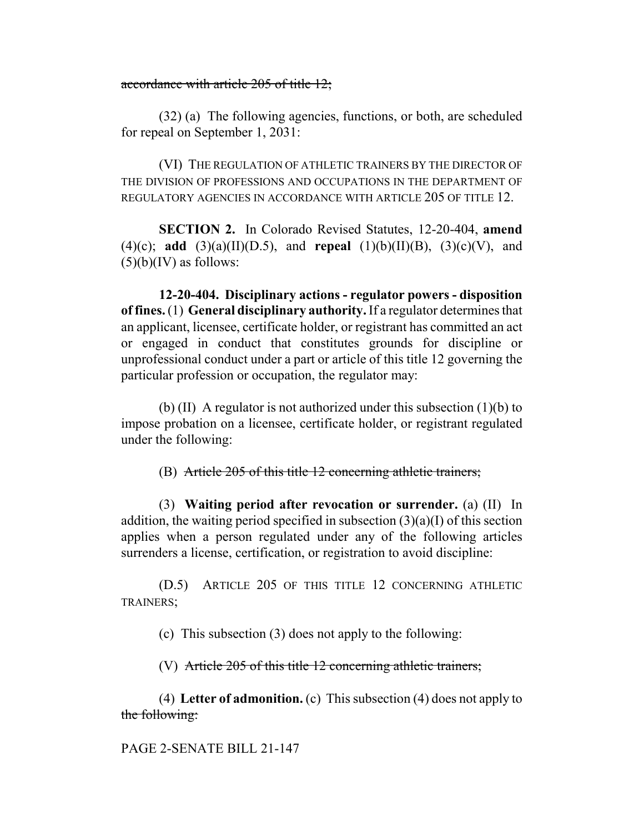## accordance with article 205 of title 12;

(32) (a) The following agencies, functions, or both, are scheduled for repeal on September 1, 2031:

(VI) THE REGULATION OF ATHLETIC TRAINERS BY THE DIRECTOR OF THE DIVISION OF PROFESSIONS AND OCCUPATIONS IN THE DEPARTMENT OF REGULATORY AGENCIES IN ACCORDANCE WITH ARTICLE 205 OF TITLE 12.

**SECTION 2.** In Colorado Revised Statutes, 12-20-404, **amend** (4)(c); **add** (3)(a)(II)(D.5), and **repeal** (1)(b)(II)(B), (3)(c)(V), and  $(5)(b)(IV)$  as follows:

**12-20-404. Disciplinary actions - regulator powers - disposition of fines.** (1) **General disciplinary authority.** If a regulator determines that an applicant, licensee, certificate holder, or registrant has committed an act or engaged in conduct that constitutes grounds for discipline or unprofessional conduct under a part or article of this title 12 governing the particular profession or occupation, the regulator may:

(b) (II) A regulator is not authorized under this subsection  $(1)(b)$  to impose probation on a licensee, certificate holder, or registrant regulated under the following:

(B) Article 205 of this title 12 concerning athletic trainers;

(3) **Waiting period after revocation or surrender.** (a) (II) In addition, the waiting period specified in subsection (3)(a)(I) of this section applies when a person regulated under any of the following articles surrenders a license, certification, or registration to avoid discipline:

(D.5) ARTICLE 205 OF THIS TITLE 12 CONCERNING ATHLETIC TRAINERS;

(c) This subsection (3) does not apply to the following:

(V) Article 205 of this title 12 concerning athletic trainers;

(4) **Letter of admonition.** (c) This subsection (4) does not apply to the following:

PAGE 2-SENATE BILL 21-147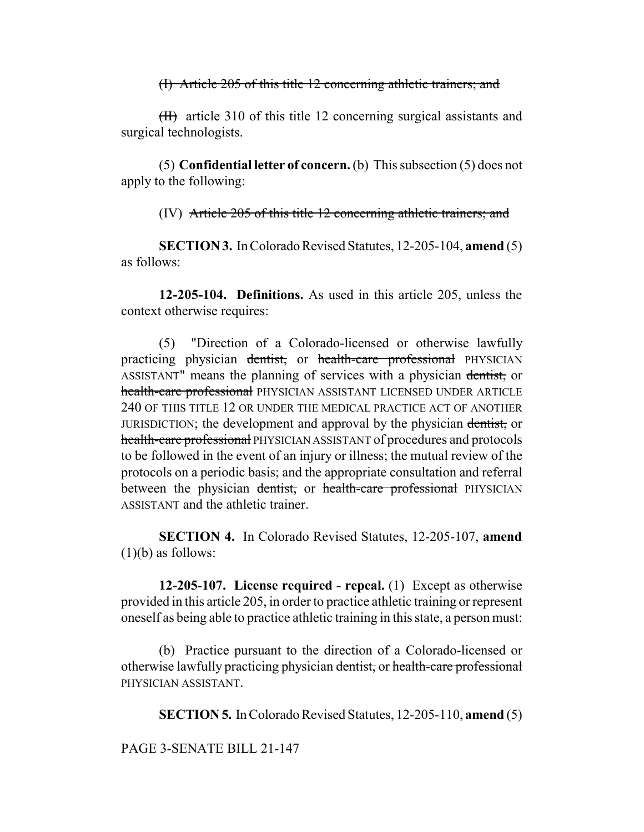(I) Article 205 of this title 12 concerning athletic trainers; and

 $(H)$  article 310 of this title 12 concerning surgical assistants and surgical technologists.

(5) **Confidential letter of concern.** (b) This subsection (5) does not apply to the following:

(IV) Article 205 of this title 12 concerning athletic trainers; and

**SECTION 3.** In Colorado Revised Statutes, 12-205-104, **amend** (5) as follows:

**12-205-104. Definitions.** As used in this article 205, unless the context otherwise requires:

(5) "Direction of a Colorado-licensed or otherwise lawfully practicing physician dentist, or health-care professional PHYSICIAN ASSISTANT" means the planning of services with a physician dentist, or health-care professional PHYSICIAN ASSISTANT LICENSED UNDER ARTICLE 240 OF THIS TITLE 12 OR UNDER THE MEDICAL PRACTICE ACT OF ANOTHER JURISDICTION; the development and approval by the physician dentist, or health-care professional PHYSICIAN ASSISTANT of procedures and protocols to be followed in the event of an injury or illness; the mutual review of the protocols on a periodic basis; and the appropriate consultation and referral between the physician dentist, or health-care professional PHYSICIAN ASSISTANT and the athletic trainer.

**SECTION 4.** In Colorado Revised Statutes, 12-205-107, **amend**  $(1)(b)$  as follows:

**12-205-107. License required - repeal.** (1) Except as otherwise provided in this article 205, in order to practice athletic training or represent oneself as being able to practice athletic training in this state, a person must:

(b) Practice pursuant to the direction of a Colorado-licensed or otherwise lawfully practicing physician dentist, or health-care professional PHYSICIAN ASSISTANT.

**SECTION 5.** In Colorado Revised Statutes, 12-205-110, **amend** (5)

PAGE 3-SENATE BILL 21-147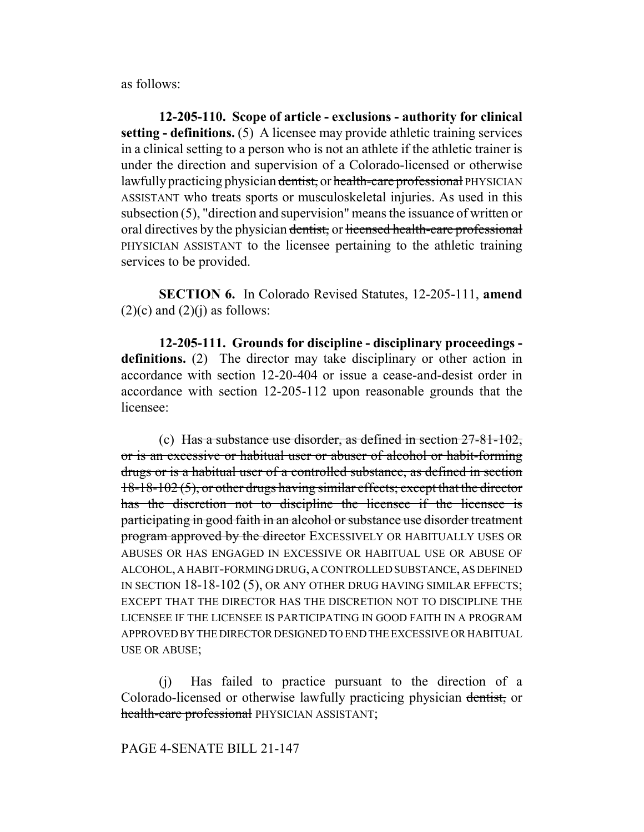as follows:

**12-205-110. Scope of article - exclusions - authority for clinical setting - definitions.** (5) A licensee may provide athletic training services in a clinical setting to a person who is not an athlete if the athletic trainer is under the direction and supervision of a Colorado-licensed or otherwise lawfully practicing physician dentist, or health-care professional PHYSICIAN ASSISTANT who treats sports or musculoskeletal injuries. As used in this subsection (5), "direction and supervision" means the issuance of written or oral directives by the physician dentist, or licensed health-care professional PHYSICIAN ASSISTANT to the licensee pertaining to the athletic training services to be provided.

**SECTION 6.** In Colorado Revised Statutes, 12-205-111, **amend**  $(2)(c)$  and  $(2)(j)$  as follows:

**12-205-111. Grounds for discipline - disciplinary proceedings definitions.** (2) The director may take disciplinary or other action in accordance with section 12-20-404 or issue a cease-and-desist order in accordance with section 12-205-112 upon reasonable grounds that the licensee:

(c) Has a substance use disorder, as defined in section  $27-81-102$ , or is an excessive or habitual user or abuser of alcohol or habit-forming drugs or is a habitual user of a controlled substance, as defined in section 18-18-102 (5), or other drugs having similar effects; except that the director has the discretion not to discipline the licensee if the licensee is participating in good faith in an alcohol or substance use disorder treatment program approved by the director EXCESSIVELY OR HABITUALLY USES OR ABUSES OR HAS ENGAGED IN EXCESSIVE OR HABITUAL USE OR ABUSE OF ALCOHOL, A HABIT-FORMING DRUG, A CONTROLLED SUBSTANCE, AS DEFINED IN SECTION 18-18-102 (5), OR ANY OTHER DRUG HAVING SIMILAR EFFECTS; EXCEPT THAT THE DIRECTOR HAS THE DISCRETION NOT TO DISCIPLINE THE LICENSEE IF THE LICENSEE IS PARTICIPATING IN GOOD FAITH IN A PROGRAM APPROVED BY THE DIRECTOR DESIGNED TO END THE EXCESSIVE OR HABITUAL USE OR ABUSE;

(j) Has failed to practice pursuant to the direction of a Colorado-licensed or otherwise lawfully practicing physician dentist, or health-care professional PHYSICIAN ASSISTANT;

## PAGE 4-SENATE BILL 21-147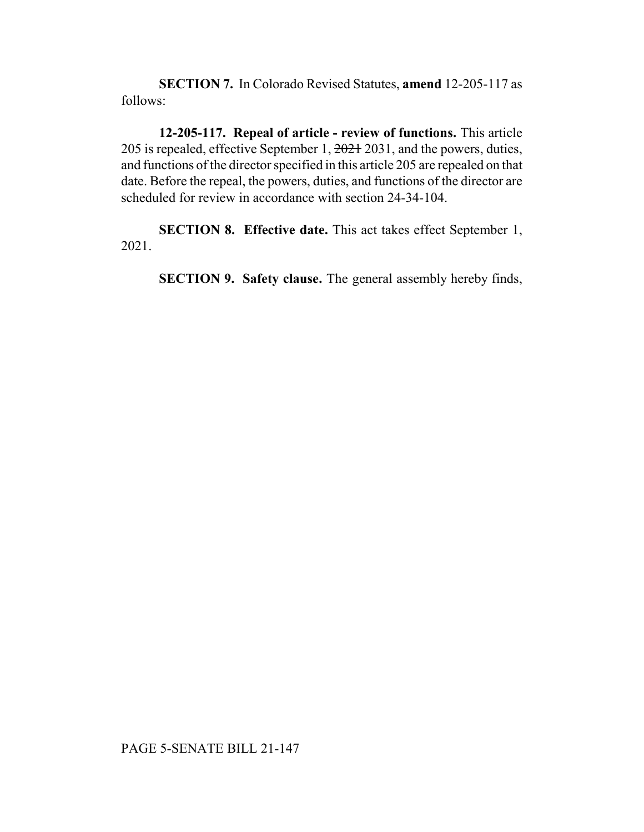**SECTION 7.** In Colorado Revised Statutes, **amend** 12-205-117 as follows:

**12-205-117. Repeal of article - review of functions.** This article 205 is repealed, effective September 1, 2021 2031, and the powers, duties, and functions of the director specified in this article 205 are repealed on that date. Before the repeal, the powers, duties, and functions of the director are scheduled for review in accordance with section 24-34-104.

**SECTION 8. Effective date.** This act takes effect September 1, 2021.

**SECTION 9. Safety clause.** The general assembly hereby finds,